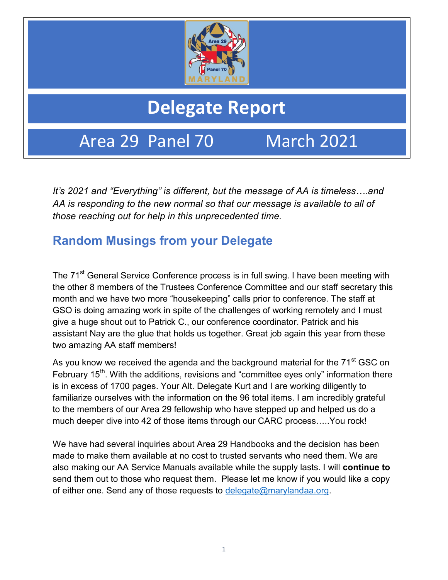

# Delegate Report

Area 29 Panel 70 March 2021

It's 2021 and "Everything" is different, but the message of AA is timeless….and AA is responding to the new normal so that our message is available to all of those reaching out for help in this unprecedented time.

## Random Musings from your Delegate

The 71<sup>st</sup> General Service Conference process is in full swing. I have been meeting with the other 8 members of the Trustees Conference Committee and our staff secretary this month and we have two more "housekeeping" calls prior to conference. The staff at GSO is doing amazing work in spite of the challenges of working remotely and I must give a huge shout out to Patrick C., our conference coordinator. Patrick and his assistant Nay are the glue that holds us together. Great job again this year from these two amazing AA staff members!

As you know we received the agenda and the background material for the 71<sup>st</sup> GSC on February 15<sup>th</sup>. With the additions, revisions and "committee eyes only" information there is in excess of 1700 pages. Your Alt. Delegate Kurt and I are working diligently to familiarize ourselves with the information on the 96 total items. I am incredibly grateful to the members of our Area 29 fellowship who have stepped up and helped us do a much deeper dive into 42 of those items through our CARC process…..You rock!

We have had several inquiries about Area 29 Handbooks and the decision has been made to make them available at no cost to trusted servants who need them. We are also making our AA Service Manuals available while the supply lasts. I will continue to send them out to those who request them. Please let me know if you would like a copy of either one. Send any of those requests to delegate@marylandaa.org.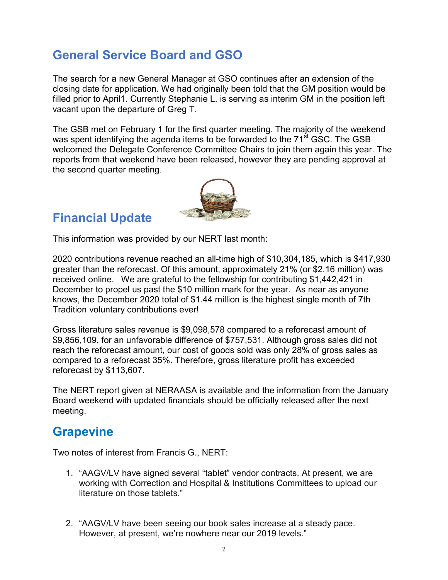## General Service Board and GSO

The search for a new General Manager at GSO continues after an extension of the closing date for application. We had originally been told that the GM position would be filled prior to April1. Currently Stephanie L. is serving as interim GM in the position left vacant upon the departure of Greg T.

The GSB met on February 1 for the first quarter meeting. The majority of the weekend was spent identifying the agenda items to be forwarded to the  $71<sup>st</sup>$  GSC. The GSB welcomed the Delegate Conference Committee Chairs to join them again this year. The reports from that weekend have been released, however they are pending approval at the second quarter meeting.



### Financial Update

This information was provided by our NERT last month:

2020 contributions revenue reached an all-time high of \$10,304,185, which is \$417,930 greater than the reforecast. Of this amount, approximately 21% (or \$2.16 million) was received online. We are grateful to the fellowship for contributing \$1,442,421 in December to propel us past the \$10 million mark for the year. As near as anyone knows, the December 2020 total of \$1.44 million is the highest single month of 7th Tradition voluntary contributions ever!

Gross literature sales revenue is \$9,098,578 compared to a reforecast amount of \$9,856,109, for an unfavorable difference of \$757,531. Although gross sales did not reach the reforecast amount, our cost of goods sold was only 28% of gross sales as compared to a reforecast 35%. Therefore, gross literature profit has exceeded reforecast by \$113,607.

The NERT report given at NERAASA is available and the information from the January Board weekend with updated financials should be officially released after the next meeting.

#### **Grapevine**

Two notes of interest from Francis G., NERT:

- 1. "AAGV/LV have signed several "tablet" vendor contracts. At present, we are working with Correction and Hospital & Institutions Committees to upload our literature on those tablets."
- 2. "AAGV/LV have been seeing our book sales increase at a steady pace. However, at present, we're nowhere near our 2019 levels."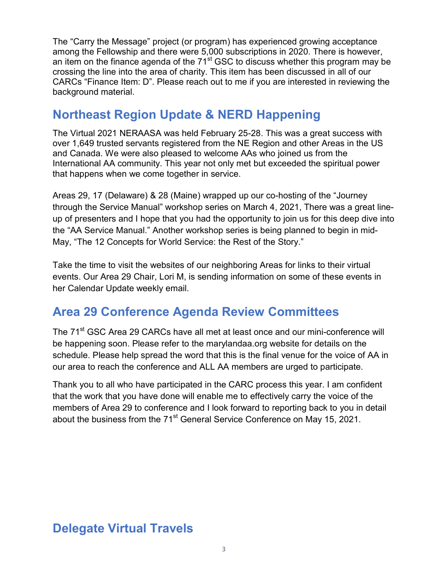The "Carry the Message" project (or program) has experienced growing acceptance among the Fellowship and there were 5,000 subscriptions in 2020. There is however, an item on the finance agenda of the  $71<sup>st</sup>$  GSC to discuss whether this program may be crossing the line into the area of charity. This item has been discussed in all of our CARCs "Finance Item: D". Please reach out to me if you are interested in reviewing the background material.

## Northeast Region Update & NERD Happening

The Virtual 2021 NERAASA was held February 25-28. This was a great success with over 1,649 trusted servants registered from the NE Region and other Areas in the US and Canada. We were also pleased to welcome AAs who joined us from the International AA community. This year not only met but exceeded the spiritual power that happens when we come together in service.

Areas 29, 17 (Delaware) & 28 (Maine) wrapped up our co-hosting of the "Journey through the Service Manual" workshop series on March 4, 2021, There was a great lineup of presenters and I hope that you had the opportunity to join us for this deep dive into the "AA Service Manual." Another workshop series is being planned to begin in mid-May, "The 12 Concepts for World Service: the Rest of the Story."

Take the time to visit the websites of our neighboring Areas for links to their virtual events. Our Area 29 Chair, Lori M, is sending information on some of these events in her Calendar Update weekly email.

## Area 29 Conference Agenda Review Committees

The 71<sup>st</sup> GSC Area 29 CARCs have all met at least once and our mini-conference will be happening soon. Please refer to the marylandaa.org website for details on the schedule. Please help spread the word that this is the final venue for the voice of AA in our area to reach the conference and ALL AA members are urged to participate.

Thank you to all who have participated in the CARC process this year. I am confident that the work that you have done will enable me to effectively carry the voice of the members of Area 29 to conference and I look forward to reporting back to you in detail about the business from the 71<sup>st</sup> General Service Conference on May 15, 2021.

## Delegate Virtual Travels